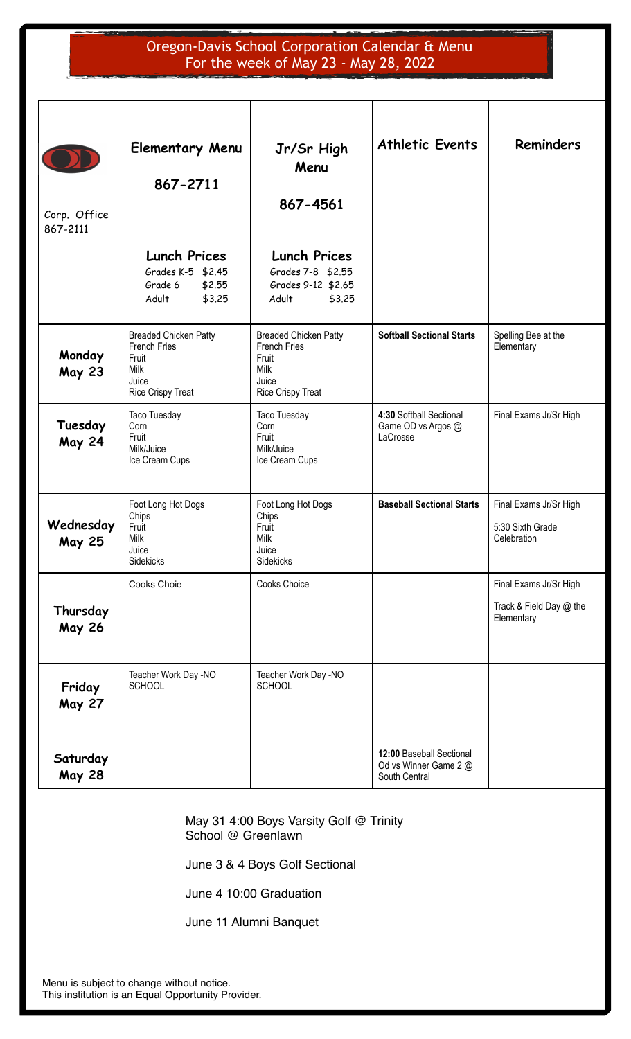# Oregon-Davis School Corporation Calendar & Menu For the week of May 23 - May 28, 2022

| Corp. Office<br>867-2111                                         | <b>Elementary Menu</b><br>867-2711<br><b>Lunch Prices</b><br>Grades K-5 \$2.45<br>Grade 6<br>\$2.55<br>Adult<br>\$3.25 | Jr/Sr High<br>Menu<br>867-4561<br><b>Lunch Prices</b><br>Grades 7-8 \$2.55<br>Grades 9-12 \$2.65<br>Adult<br>\$3.25 | <b>Athletic Events</b>                                             | <b>Reminders</b>                                                |
|------------------------------------------------------------------|------------------------------------------------------------------------------------------------------------------------|---------------------------------------------------------------------------------------------------------------------|--------------------------------------------------------------------|-----------------------------------------------------------------|
| Monday<br><b>May 23</b>                                          | <b>Breaded Chicken Patty</b><br><b>French Fries</b><br>Fruit<br><b>Milk</b><br>Juice<br>Rice Crispy Treat              | <b>Breaded Chicken Patty</b><br>French Fries<br>Fruit<br><b>Milk</b><br>Juice<br><b>Rice Crispy Treat</b>           | <b>Softball Sectional Starts</b>                                   | Spelling Bee at the<br>Elementary                               |
| Tuesday<br><b>May 24</b>                                         | Taco Tuesday<br>Corn<br>Fruit<br>Milk/Juice<br>Ice Cream Cups                                                          | Taco Tuesday<br>Corn<br>Fruit<br>Milk/Juice<br>Ice Cream Cups                                                       | 4:30 Softball Sectional<br>Game OD vs Argos @<br>LaCrosse          | Final Exams Jr/Sr High                                          |
| Wednesday<br><b>May 25</b>                                       | Foot Long Hot Dogs<br>Chips<br>Fruit<br><b>Milk</b><br>Juice<br>Sidekicks                                              | Foot Long Hot Dogs<br>Chips<br>Fruit<br><b>Milk</b><br>Juice<br><b>Sidekicks</b>                                    | <b>Baseball Sectional Starts</b>                                   | Final Exams Jr/Sr High<br>5:30 Sixth Grade<br>Celebration       |
| Thursday<br><b>May 26</b>                                        | Cooks Choie                                                                                                            | Cooks Choice                                                                                                        |                                                                    | Final Exams Jr/Sr High<br>Track & Field Day @ the<br>Elementary |
| Teacher Work Day -NO<br><b>SCHOOL</b><br>Friday<br><b>May 27</b> |                                                                                                                        | Teacher Work Day -NO<br><b>SCHOOL</b>                                                                               |                                                                    |                                                                 |
| Saturday<br><b>May 28</b>                                        |                                                                                                                        |                                                                                                                     | 12:00 Baseball Sectional<br>Od vs Winner Game 2 @<br>South Central |                                                                 |

May 31 4:00 Boys Varsity Golf @ Trinity School @ Greenlawn

June 3 & 4 Boys Golf Sectional

June 4 10:00 Graduation

June 11 Alumni Banquet

Menu is subject to change without notice. This institution is an Equal Opportunity Provider.